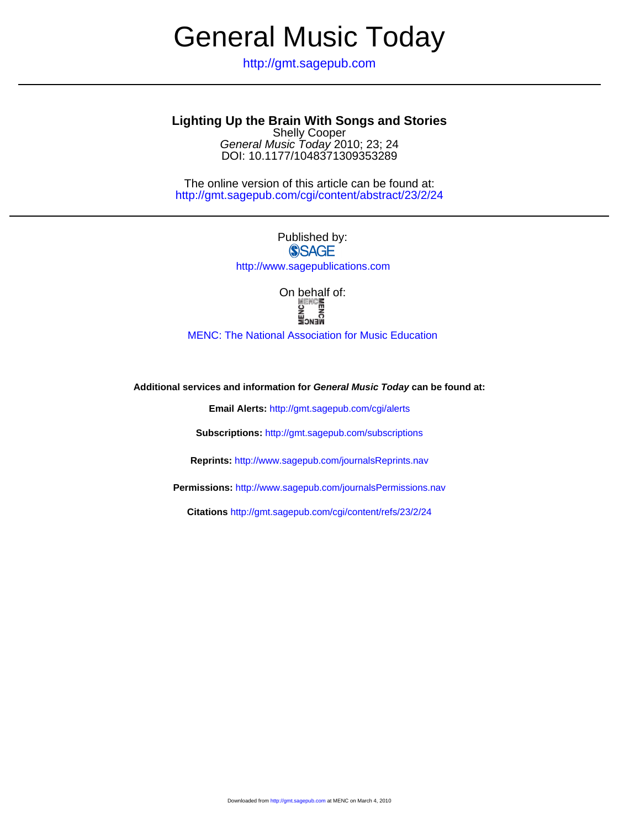# General Music Today

http://gmt.sagepub.com

# **Lighting Up the Brain With Songs and Stories**

DOI: 10.1177/1048371309353289 General Music Today 2010; 23; 24 Shelly Cooper

http://gmt.sagepub.com/cgi/content/abstract/23/2/24 The online version of this article can be found at:

Published by:<br>
SAGE

http://www.sagepublications.com

On behalf of:<br> **SERGE**<br> **E**<br> **E** 

[MENC: The National Association for Music Education](http://www.menc.org)

**Additional services and information for General Music Today can be found at:**

**Email Alerts:** <http://gmt.sagepub.com/cgi/alerts>

**Subscriptions:** <http://gmt.sagepub.com/subscriptions>

**Reprints:** <http://www.sagepub.com/journalsReprints.nav>

**Permissions:** <http://www.sagepub.com/journalsPermissions.nav>

**Citations** <http://gmt.sagepub.com/cgi/content/refs/23/2/24>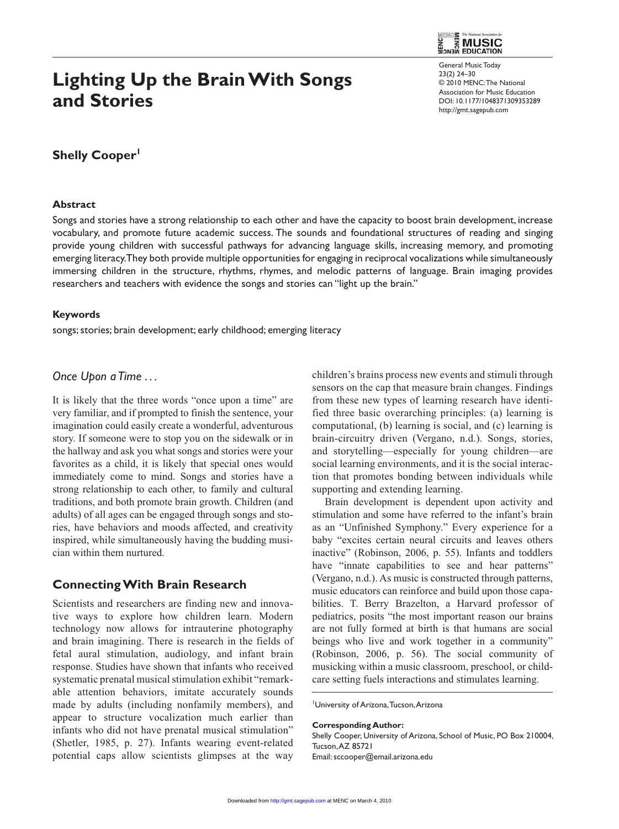# **Lighting Up the Brain With Songs and Stories**

# **Shelly Cooper**

#### **Abstract**

Songs and stories have a strong relationship to each other and have the capacity to boost brain development, increase vocabulary, and promote future academic success. The sounds and foundational structures of reading and singing provide young children with successful pathways for advancing language skills, increasing memory, and promoting emerging literacy. They both provide multiple opportunities for engaging in reciprocal vocalizations while simultaneously immersing children in the structure, rhythms, rhymes, and melodic patterns of language. Brain imaging provides researchers and teachers with evidence the songs and stories can "light up the brain."

#### **Keywords**

songs; stories; brain development; early childhood; emerging literacy

# *Once Upon a Time . . .*

It is likely that the three words "once upon a time" are very familiar, and if prompted to finish the sentence, your imagination could easily create a wonderful, adventurous story. If someone were to stop you on the sidewalk or in the hallway and ask you what songs and stories were your favorites as a child, it is likely that special ones would immediately come to mind. Songs and stories have a strong relationship to each other, to family and cultural traditions, and both promote brain growth. Children (and adults) of all ages can be engaged through songs and stories, have behaviors and moods affected, and creativity inspired, while simultaneously having the budding musician within them nurtured.

# **Connecting With Brain Research**

Scientists and researchers are finding new and innovative ways to explore how children learn. Modern technology now allows for intrauterine photography and brain imagining. There is research in the fields of fetal aural stimulation, audiology, and infant brain response. Studies have shown that infants who received systematic prenatal musical stimulation exhibit "remarkable attention behaviors, imitate accurately sounds made by adults (including nonfamily members), and appear to structure vocalization much earlier than infants who did not have prenatal musical stimulation" (Shetler, 1985, p. 27). Infants wearing event-related potential caps allow scientists glimpses at the way

children's brains process new events and stimuli through sensors on the cap that measure brain changes. Findings from these new types of learning research have identified three basic overarching principles: (a) learning is computational, (b) learning is social, and (c) learning is brain-circuitry driven (Vergano, n.d.). Songs, stories, and storytelling—especially for young children—are social learning environments, and it is the social interaction that promotes bonding between individuals while supporting and extending learning.

Brain development is dependent upon activity and stimulation and some have referred to the infant's brain as an "Unfinished Symphony." Every experience for a baby "excites certain neural circuits and leaves others inactive" (Robinson, 2006, p. 55). Infants and toddlers have "innate capabilities to see and hear patterns" (Vergano, n.d.). As music is constructed through patterns, music educators can reinforce and build upon those capabilities. T. Berry Brazelton, a Harvard professor of pediatrics, posits "the most important reason our brains are not fully formed at birth is that humans are social beings who live and work together in a community" (Robinson, 2006, p. 56). The social community of musicking within a music classroom, preschool, or childcare setting fuels interactions and stimulates learning.

**Corresponding Author:**

Shelly Cooper, University of Arizona, School of Music, PO Box 210004, Tucson, AZ 85721 Email: sccooper@email.arizona.edu



General Music Today 23(2) 24–30 © 2010 MENC: The National Association for Music Education DOI: 10.1177/1048371309353289 http://gmt.sagepub.com

<sup>1</sup> University of Arizona, Tucson, Arizona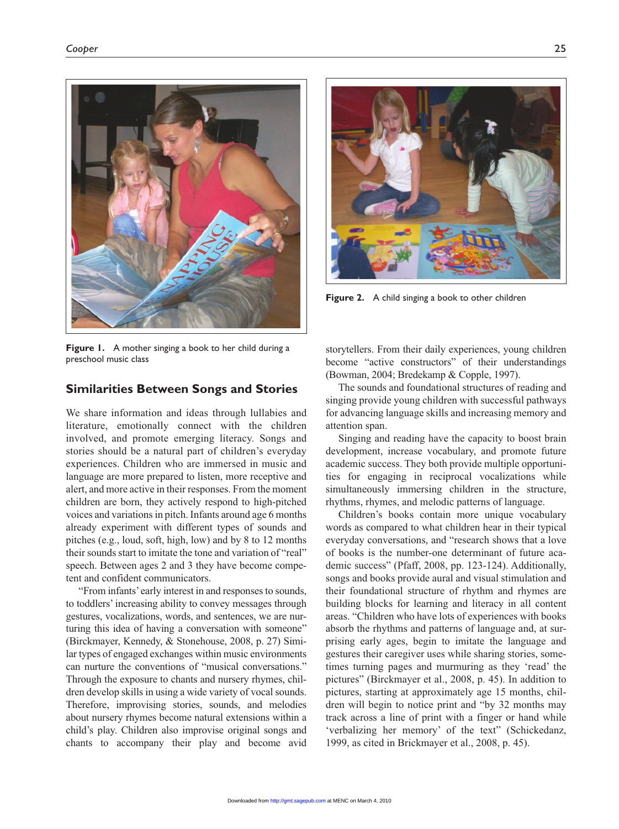

**Figure 1.** A mother singing a book to her child during a preschool music class

### **Similarities Between Songs and Stories**

We share information and ideas through lullabies and literature, emotionally connect with the children involved, and promote emerging literacy. Songs and stories should be a natural part of children's everyday experiences. Children who are immersed in music and language are more prepared to listen, more receptive and alert, and more active in their responses. From the moment children are born, they actively respond to high-pitched voices and variations in pitch. Infants around age 6 months already experiment with different types of sounds and pitches (e.g., loud, soft, high, low) and by 8 to 12 months their sounds start to imitate the tone and variation of "real" speech. Between ages 2 and 3 they have become competent and confident communicators.

"From infants' early interest in and responses to sounds, to toddlers' increasing ability to convey messages through gestures, vocalizations, words, and sentences, we are nurturing this idea of having a conversation with someone" (Birckmayer, Kennedy, & Stonehouse, 2008, p. 27) Similar types of engaged exchanges within music environments can nurture the conventions of "musical conversations." Through the exposure to chants and nursery rhymes, children develop skills in using a wide variety of vocal sounds. Therefore, improvising stories, sounds, and melodies about nursery rhymes become natural extensions within a child's play. Children also improvise original songs and chants to accompany their play and become avid



**Figure 2.** A child singing a book to other children

storytellers. From their daily experiences, young children become "active constructors" of their understandings (Bowman, 2004; Bredekamp & Copple, 1997).

The sounds and foundational structures of reading and singing provide young children with successful pathways for advancing language skills and increasing memory and attention span.

Singing and reading have the capacity to boost brain development, increase vocabulary, and promote future academic success. They both provide multiple opportunities for engaging in reciprocal vocalizations while simultaneously immersing children in the structure, rhythms, rhymes, and melodic patterns of language.

Children's books contain more unique vocabulary words as compared to what children hear in their typical everyday conversations, and "research shows that a love of books is the number-one determinant of future academic success" (Pfaff, 2008, pp. 123-124). Additionally, songs and books provide aural and visual stimulation and their foundational structure of rhythm and rhymes are building blocks for learning and literacy in all content areas. "Children who have lots of experiences with books absorb the rhythms and patterns of language and, at surprising early ages, begin to imitate the language and gestures their caregiver uses while sharing stories, sometimes turning pages and murmuring as they 'read' the pictures" (Birckmayer et al., 2008, p. 45). In addition to pictures, starting at approximately age 15 months, children will begin to notice print and "by 32 months may track across a line of print with a finger or hand while 'verbalizing her memory' of the text" (Schickedanz, 1999, as cited in Brickmayer et al., 2008, p. 45).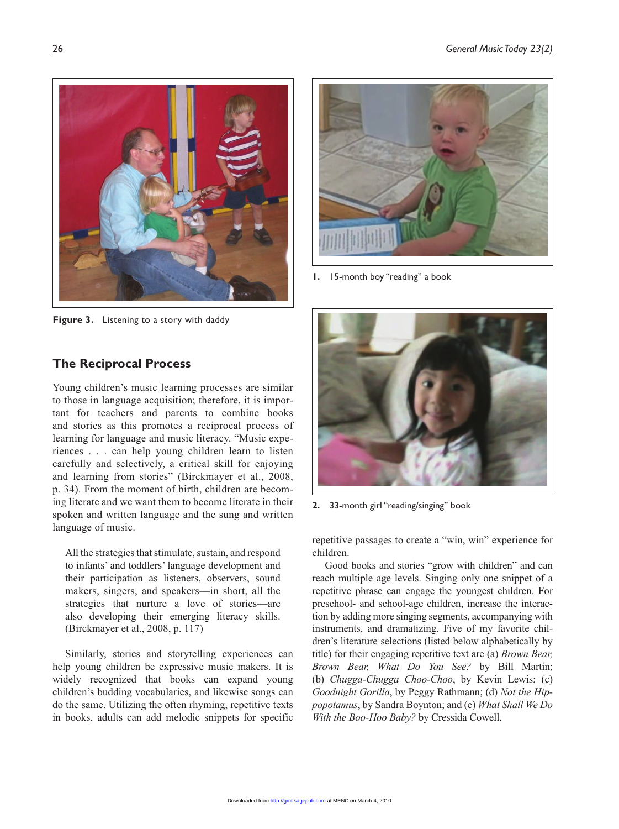

**Figure 3.** Listening to a story with daddy

# **The Reciprocal Process**

Young children's music learning processes are similar to those in language acquisition; therefore, it is important for teachers and parents to combine books and stories as this promotes a reciprocal process of learning for language and music literacy. "Music experiences . . . can help young children learn to listen carefully and selectively, a critical skill for enjoying and learning from stories" (Birckmayer et al., 2008, p. 34). From the moment of birth, children are becoming literate and we want them to become literate in their spoken and written language and the sung and written language of music.

All the strategies that stimulate, sustain, and respond to infants' and toddlers' language development and their participation as listeners, observers, sound makers, singers, and speakers—in short, all the strategies that nurture a love of stories—are also developing their emerging literacy skills. (Birckmayer et al., 2008, p. 117)

Similarly, stories and storytelling experiences can help young children be expressive music makers. It is widely recognized that books can expand young children's budding vocabularies, and likewise songs can do the same. Utilizing the often rhyming, repetitive texts in books, adults can add melodic snippets for specific



**1.** 15-month boy "reading" a book



**2.** 33-month girl "reading/singing" book

repetitive passages to create a "win, win" experience for children.

Good books and stories "grow with children" and can reach multiple age levels. Singing only one snippet of a repetitive phrase can engage the youngest children. For preschool- and school-age children, increase the interaction by adding more singing segments, accompanying with instruments, and dramatizing. Five of my favorite children's literature selections (listed below alphabetically by title) for their engaging repetitive text are (a) *Brown Bear, Brown Bear, What Do You See?* by Bill Martin; (b) *Chugga-Chugga Choo-Choo*, by Kevin Lewis; (c) *Goodnight Gorilla*, by Peggy Rathmann; (d) *Not the Hippopotamus*, by Sandra Boynton; and (e) *What Shall We Do With the Boo-Hoo Baby?* by Cressida Cowell.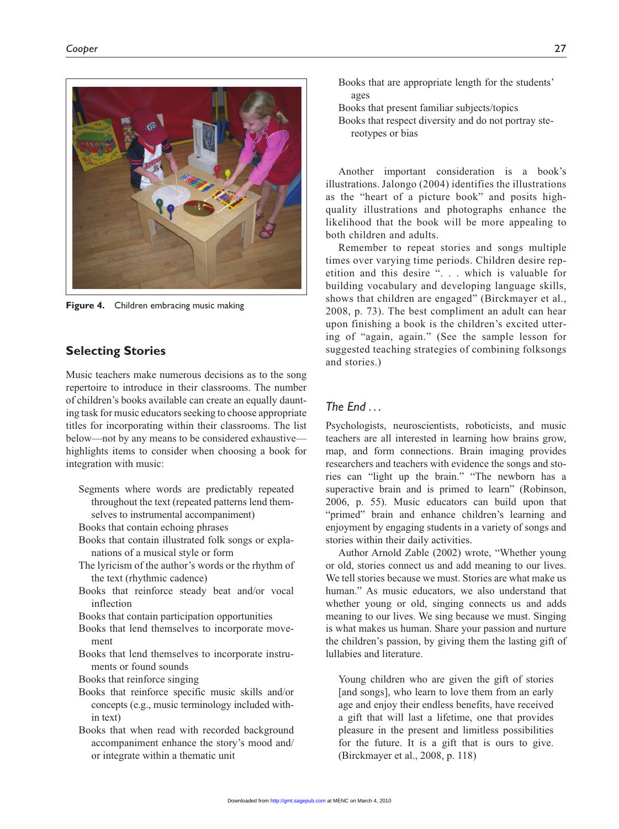

**Figure 4.** Children embracing music making

# **Selecting Stories**

Music teachers make numerous decisions as to the song repertoire to introduce in their classrooms. The number of children's books available can create an equally daunting task for music educators seeking to choose appropriate titles for incorporating within their classrooms. The list below—not by any means to be considered exhaustive highlights items to consider when choosing a book for integration with music:

- Segments where words are predictably repeated throughout the text (repeated patterns lend themselves to instrumental accompaniment)
- Books that contain echoing phrases
- Books that contain illustrated folk songs or explanations of a musical style or form
- The lyricism of the author's words or the rhythm of the text (rhythmic cadence)
- Books that reinforce steady beat and/or vocal inflection
- Books that contain participation opportunities
- Books that lend themselves to incorporate movement
- Books that lend themselves to incorporate instruments or found sounds
- Books that reinforce singing
- Books that reinforce specific music skills and/or concepts (e.g., music terminology included within text)
- Books that when read with recorded background accompaniment enhance the story's mood and/ or integrate within a thematic unit
- Books that are appropriate length for the students' ages
- Books that present familiar subjects/topics
- Books that respect diversity and do not portray stereotypes or bias

Another important consideration is a book's illustrations. Jalongo (2004) identifies the illustrations as the "heart of a picture book" and posits highquality illustrations and photographs enhance the likelihood that the book will be more appealing to both children and adults.

Remember to repeat stories and songs multiple times over varying time periods. Children desire repetition and this desire ". . . which is valuable for building vocabulary and developing language skills, shows that children are engaged" (Birckmayer et al., 2008, p. 73). The best compliment an adult can hear upon finishing a book is the children's excited uttering of "again, again." (See the sample lesson for suggested teaching strategies of combining folksongs and stories.)

# *The End . . .*

Psychologists, neuroscientists, roboticists, and music teachers are all interested in learning how brains grow, map, and form connections. Brain imaging provides researchers and teachers with evidence the songs and stories can "light up the brain." "The newborn has a superactive brain and is primed to learn" (Robinson, 2006, p. 55). Music educators can build upon that "primed" brain and enhance children's learning and enjoyment by engaging students in a variety of songs and stories within their daily activities.

Author Arnold Zable (2002) wrote, "Whether young or old, stories connect us and add meaning to our lives. We tell stories because we must. Stories are what make us human." As music educators, we also understand that whether young or old, singing connects us and adds meaning to our lives. We sing because we must. Singing is what makes us human. Share your passion and nurture the children's passion, by giving them the lasting gift of lullabies and literature.

Young children who are given the gift of stories [and songs], who learn to love them from an early age and enjoy their endless benefits, have received a gift that will last a lifetime, one that provides pleasure in the present and limitless possibilities for the future. It is a gift that is ours to give. (Birckmayer et al., 2008, p. 118)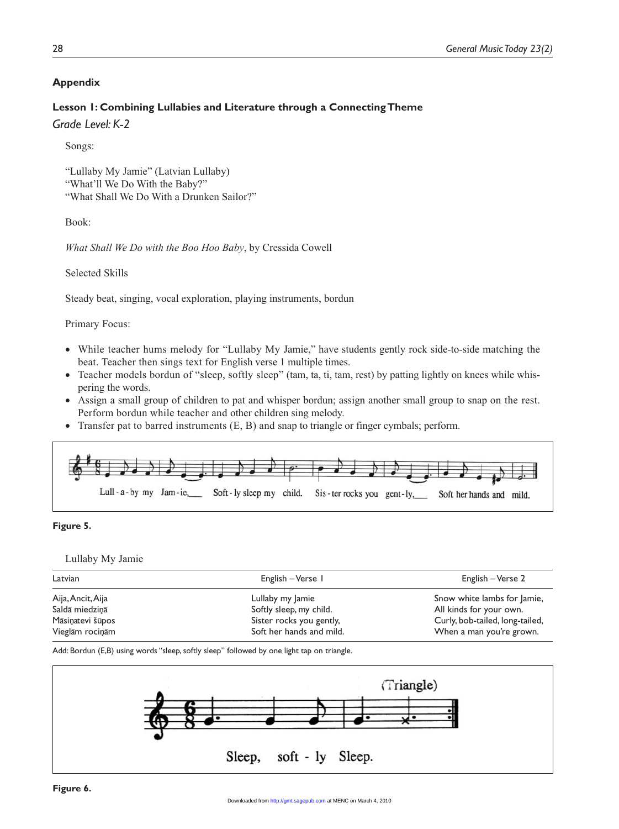# **Appendix**

# **Lesson 1: Combining Lullabies and Literature through a Connecting Theme**

*Grade Level: K-2*

Songs:

"Lullaby My Jamie" (Latvian Lullaby) "What'll We Do With the Baby?" "What Shall We Do With a Drunken Sailor?"

Book:

*What Shall We Do with the Boo Hoo Baby*, by Cressida Cowell

Selected Skills

Steady beat, singing, vocal exploration, playing instruments, bordun

Primary Focus:

- While teacher hums melody for "Lullaby My Jamie," have students gently rock side-to-side matching the beat. Teacher then sings text for English verse 1 multiple times.
- Teacher models bordun of "sleep, softly sleep" (tam, ta, ti, tam, rest) by patting lightly on knees while whispering the words.
- • Assign a small group of children to pat and whisper bordun; assign another small group to snap on the rest. Perform bordun while teacher and other children sing melody.
- Transfer pat to barred instruments (E, B) and snap to triangle or finger cymbals; perform.



# **Figure 5.**

Lullaby My Jamie

| Latvian           | English - Verse 1        | English - Verse 2               |
|-------------------|--------------------------|---------------------------------|
| Aija, Ancit, Aija | Lullaby my Jamie         | Snow white lambs for Jamie,     |
| Saldā miedziņā    | Softly sleep, my child.  | All kinds for your own.         |
| Māsiņatevi šūpos  | Sister rocks you gently, | Curly, bob-tailed, long-tailed, |
| Vieglām rociņām   | Soft her hands and mild. | When a man you're grown.        |

Add: Bordun (E,B) using words "sleep, softly sleep" followed by one light tap on triangle.

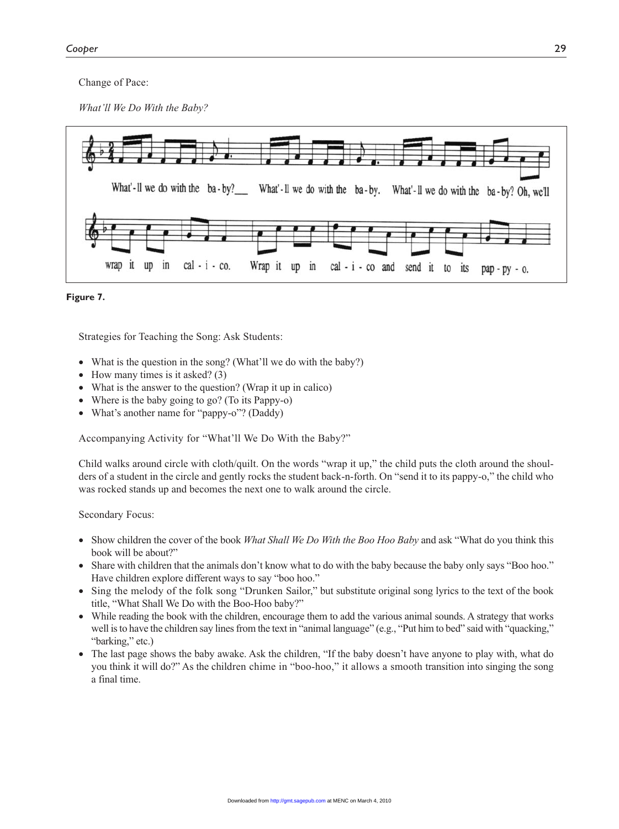Change of Pace:

*What'll We Do With the Baby?*





Strategies for Teaching the Song: Ask Students:

- What is the question in the song? (What'll we do with the baby?)
- How many times is it asked? (3)
- What is the answer to the question? (Wrap it up in calico)
- Where is the baby going to go? (To its Pappy-o)
- What's another name for "pappy-o"? (Daddy)

Accompanying Activity for "What'll We Do With the Baby?"

Child walks around circle with cloth/quilt. On the words "wrap it up," the child puts the cloth around the shoulders of a student in the circle and gently rocks the student back-n-forth. On "send it to its pappy-o," the child who was rocked stands up and becomes the next one to walk around the circle.

#### Secondary Focus:

- Show children the cover of the book *What Shall We Do With the Boo Hoo Baby* and ask "What do you think this book will be about?"
- Share with children that the animals don't know what to do with the baby because the baby only says "Boo hoo." Have children explore different ways to say "boo hoo."
- Sing the melody of the folk song "Drunken Sailor," but substitute original song lyrics to the text of the book title, "What Shall We Do with the Boo-Hoo baby?"
- While reading the book with the children, encourage them to add the various animal sounds. A strategy that works well is to have the children say lines from the text in "animal language" (e.g., "Put him to bed" said with "quacking," "barking," etc.)
- The last page shows the baby awake. Ask the children, "If the baby doesn't have anyone to play with, what do you think it will do?" As the children chime in "boo-hoo," it allows a smooth transition into singing the song a final time.